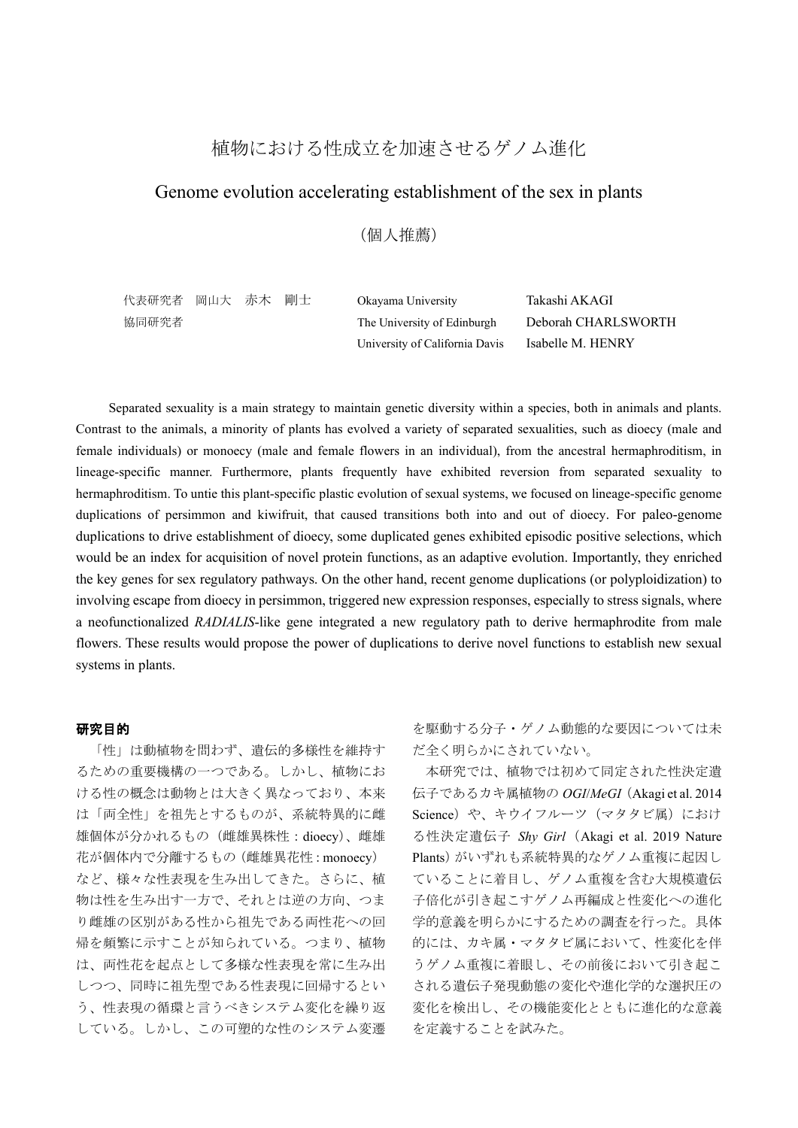# 植物における性成立を加速させるゲノム進化

## Genome evolution accelerating establishment of the sex in plants

(個人推薦)

| 代表研究者 岡山大 赤木 剛士 |  | Okayama University             | Takashi AKAGI       |
|-----------------|--|--------------------------------|---------------------|
| 協同研究者           |  | The University of Edinburgh    | Deborah CHARLSWORTH |
|                 |  | University of California Davis | Isabelle M. HENRY   |

Separated sexuality is a main strategy to maintain genetic diversity within a species, both in animals and plants. Contrast to the animals, a minority of plants has evolved a variety of separated sexualities, such as dioecy (male and female individuals) or monoecy (male and female flowers in an individual), from the ancestral hermaphroditism, in lineage-specific manner. Furthermore, plants frequently have exhibited reversion from separated sexuality to hermaphroditism. To untie this plant-specific plastic evolution of sexual systems, we focused on lineage-specific genome duplications of persimmon and kiwifruit, that caused transitions both into and out of dioecy. For paleo-genome duplications to drive establishment of dioecy, some duplicated genes exhibited episodic positive selections, which would be an index for acquisition of novel protein functions, as an adaptive evolution. Importantly, they enriched the key genes for sex regulatory pathways. On the other hand, recent genome duplications (or polyploidization) to involving escape from dioecy in persimmon, triggered new expression responses, especially to stress signals, where a neofunctionalized *RADIALIS*-like gene integrated a new regulatory path to derive hermaphrodite from male flowers. These results would propose the power of duplications to derive novel functions to establish new sexual systems in plants.

### 研究目的

「性」は動植物を問わず、遺伝的多様性を維持す るための重要機構の一つである。しかし、植物にお ける性の概念は動物とは大きく異なっており、本来 は「両全性」を祖先とするものが、系統特異的に雌 雄個体が分かれるもの(雌雄異株性:dioecy)、雌雄 花が個体内で分離するもの(雌雄異花性:monoecy) など、様々な性表現を生み出してきた。さらに、植 物は性を生み出す一方で、それとは逆の方向、つま り雌雄の区別がある性から祖先である両性花への回 帰を頻繁に示すことが知られている。つまり、植物 は、両性花を起点として多様な性表現を常に生み出 しつつ、同時に祖先型である性表現に回帰するとい う、性表現の循環と言うべきシステム変化を繰り返 している。しかし、この可塑的な性のシステム変遷 を駆動する分子・ゲノム動態的な要因については未 だ全く明らかにされていない。

本研究では、植物では初めて同定された性決定遺 伝子であるカキ属植物の *OGI*/*MeGI*(Akagi et al. 2014 Science) や、キウイフルーツ (マタタビ属) におけ る性決定遺伝子 *Shy Girl*(Akagi et al. 2019 Nature Plants)がいずれも系統特異的なゲノム重複に起因し ていることに着目し、ゲノム重複を含む大規模遺伝 子倍化が引き起こすゲノム再編成と性変化への進化 学的意義を明らかにするための調査を行った。具体 的には、カキ属・マタタビ属において、性変化を伴 うゲノム重複に着眼し、その前後において引き起こ される遺伝子発現動態の変化や進化学的な選択圧の 変化を検出し、その機能変化とともに進化的な意義 を定義することを試みた。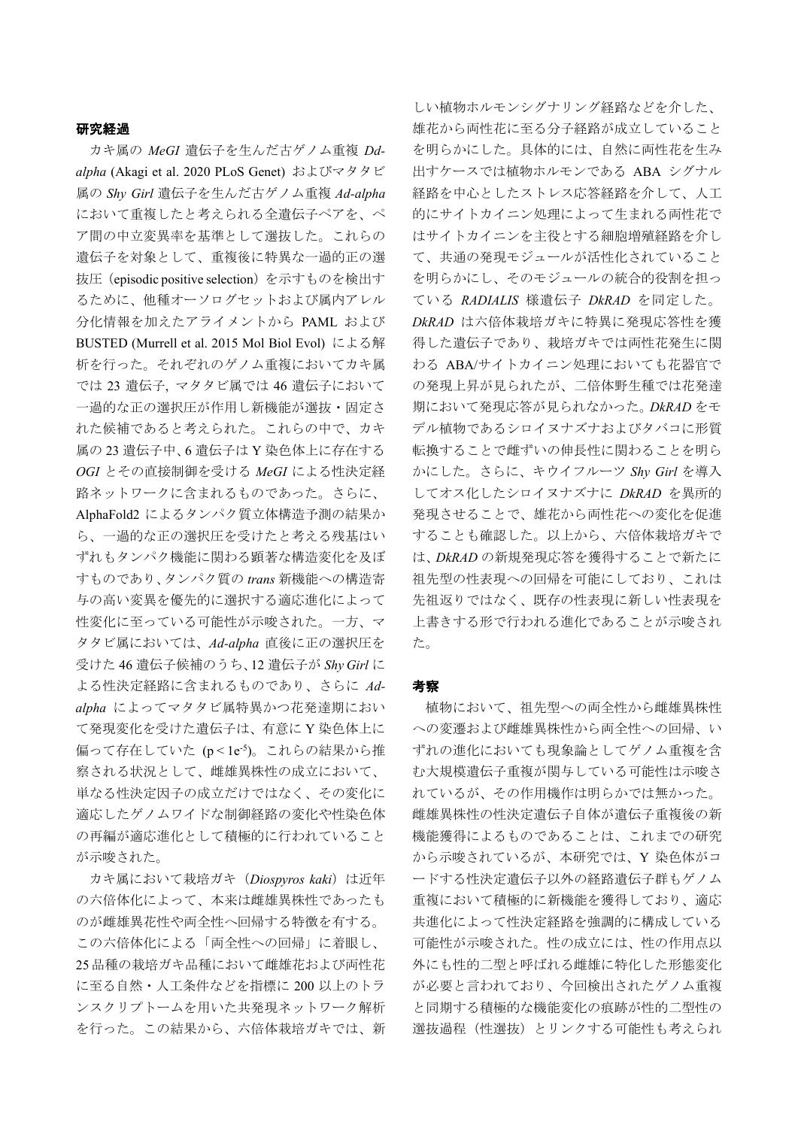#### 研究経過

カキ属の *MeGI* 遺伝子を生んだ古ゲノム重複 *Ddalpha* (Akagi et al. 2020 PLoS Genet) およびマタタビ 属の *Shy Girl* 遺伝子を生んだ古ゲノム重複 *Ad-alpha* において重複したと考えられる全遺伝子ペアを、ペ ア間の中立変異率を基準として選抜した。これらの 遺伝子を対象として、重複後に特異な一過的正の選 抜圧(episodic positive selection)を示すものを検出す るために、他種オーソログセットおよび属内アレル 分化情報を加えたアライメントから PAML および BUSTED (Murrell et al. 2015 Mol Biol Evol) による解 析を行った。それぞれのゲノム重複においてカキ属 では 23 遺伝子, マタタビ属では 46 遺伝子において 一過的な正の選択圧が作用し新機能が選抜・固定さ れた候補であると考えられた。これらの中で、カキ 属の 23 遺伝子中、6 遺伝子は Y 染色体上に存在する *OGI* とその直接制御を受ける *MeGI* による性決定経 路ネットワークに含まれるものであった。さらに、 AlphaFold2 によるタンパク質立体構造予測の結果か ら、一過的な正の選択圧を受けたと考える残基はい ずれもタンパク機能に関わる顕著な構造変化を及ぼ すものであり、タンパク質の *trans* 新機能への構造寄 与の高い変異を優先的に選択する適応進化によって 性変化に至っている可能性が示唆された。一方、マ タタビ属においては、*Ad-alpha* 直後に正の選択圧を 受けた 46 遺伝子候補のうち、12 遺伝子が *Shy Girl* に よる性決定経路に含まれるものであり、さらに *Adalpha* によってマタタビ属特異かつ花発達期におい て発現変化を受けた遺伝子は、有意に Y 染色体上に 偏って存在していた (p<1e<sup>-5</sup>)。これらの結果から推 察される状況として、雌雄異株性の成立において、 単なる性決定因子の成立だけではなく、その変化に 適応したゲノムワイドな制御経路の変化や性染色体 の再編が適応進化として積極的に行われていること が示唆された。

カキ属において栽培ガキ (Diospyros kaki) は近年 の六倍体化によって、本来は雌雄異株性であったも のが雌雄異花性や両全性へ回帰する特徴を有する。 この六倍体化による「両全性への回帰」に着眼し、 25品種の栽培ガキ品種において雌雄花および両性花 に至る自然・人工条件などを指標に 200 以上のトラ ンスクリプトームを用いた共発現ネットワーク解析 を行った。この結果から、六倍体栽培ガキでは、新

しい植物ホルモンシグナリング経路などを介した、 雄花から両性花に至る分子経路が成立していること を明らかにした。具体的には、自然に両性花を生み 出すケースでは植物ホルモンである ABA シグナル 経路を中心としたストレス応答経路を介して、人工 的にサイトカイニン処理によって生まれる両性花で はサイトカイニンを主役とする細胞増殖経路を介し て、共通の発現モジュールが活性化されていること を明らかにし、そのモジュールの統合的役割を担っ ている *RADIALIS* 様遺伝子 *DkRAD* を同定した。 *DkRAD* は六倍体栽培ガキに特異に発現応答性を獲 得した遺伝子であり、栽培ガキでは両性花発生に関 わる ABA/サイトカイニン処理においても花器官で の発現上昇が見られたが、二倍体野生種では花発達 期において発現応答が見られなかった。*DkRAD* をモ デル植物であるシロイヌナズナおよびタバコに形質 転換することで雌ずいの伸長性に関わることを明ら かにした。さらに、キウイフルーツ *Shy Girl* を導入 してオス化したシロイヌナズナに *DkRAD* を異所的 発現させることで、雄花から両性花への変化を促進 することも確認した。以上から、六倍体栽培ガキで は、*DkRAD* の新規発現応答を獲得することで新たに 祖先型の性表現への回帰を可能にしており、これは 先祖返りではなく、既存の性表現に新しい性表現を 上書きする形で行われる進化であることが示唆され た。

#### 考察

植物において、祖先型への両全性から雌雄異株性 への変遷および雌雄異株性から両全性への回帰、い ずれの進化においても現象論としてゲノム重複を含 む大規模遺伝子重複が関与している可能性は示唆さ れているが、その作用機作は明らかでは無かった。 雌雄異株性の性決定遺伝子自体が遺伝子重複後の新 機能獲得によるものであることは、これまでの研究 から示唆されているが、本研究では、Y 染色体がコ ードする性決定遺伝子以外の経路遺伝子群もゲノム 重複において積極的に新機能を獲得しており、適応 共進化によって性決定経路を強調的に構成している 可能性が示唆された。性の成立には、性の作用点以 外にも性的二型と呼ばれる雌雄に特化した形態変化 が必要と言われており、今回検出されたゲノム重複 と同期する積極的な機能変化の痕跡が性的二型性の 選抜過程(性選抜)とリンクする可能性も考えられ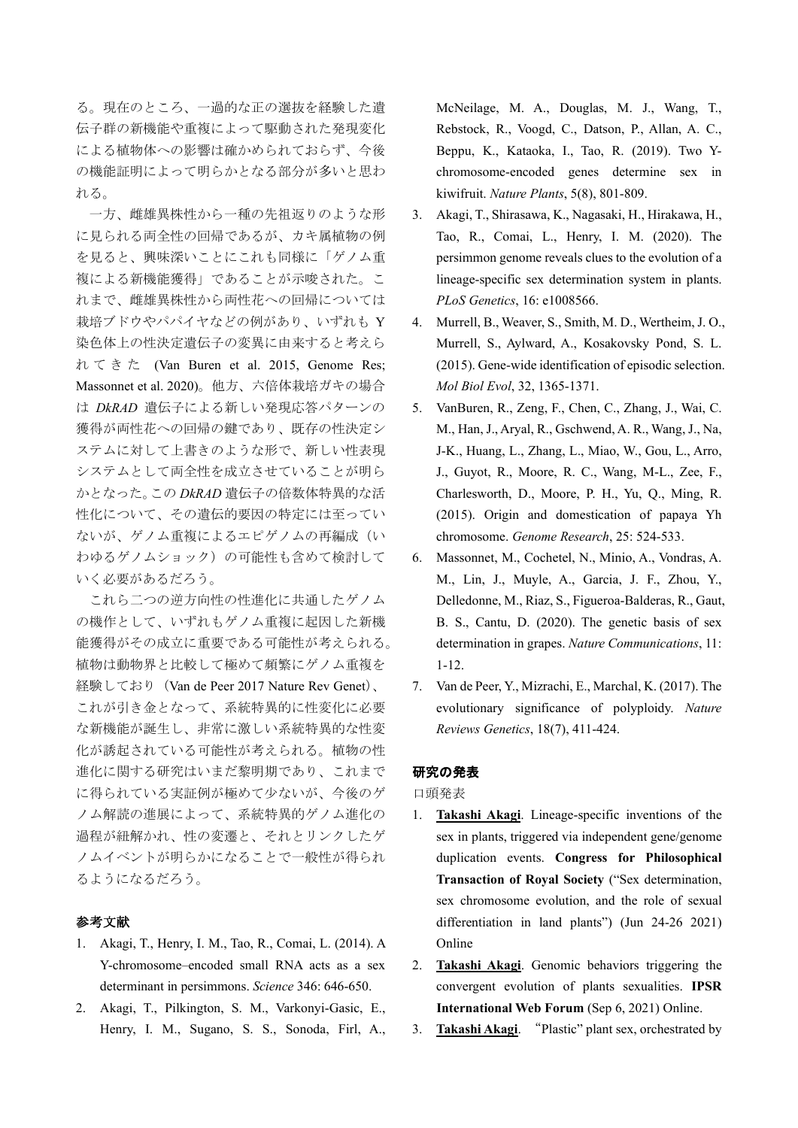る。現在のところ、一過的な正の選抜を経験した遺 伝子群の新機能や重複によって駆動された発現変化 による植物体への影響は確かめられておらず、今後 の機能証明によって明らかとなる部分が多いと思わ れる。

一方、雌雄異株性から一種の先祖返りのような形 に見られる両全性の回帰であるが、カキ属植物の例 を見ると、興味深いことにこれも同様に「ゲノム重 複による新機能獲得」であることが示唆された。こ れまで、雌雄異株性から両性花への回帰については 栽培ブドウやパパイヤなどの例があり、いずれも Y 染色体上の性決定遺伝子の変異に由来すると考えら れてきた (Van Buren et al. 2015, Genome Res; Massonnet et al. 2020)。他方、六倍体栽培ガキの場合 は *DkRAD* 遺伝子による新しい発現応答パターンの 獲得が両性花への回帰の鍵であり、既存の性決定シ ステムに対して上書きのような形で、新しい性表現 システムとして両全性を成立させていることが明ら かとなった。この *DkRAD* 遺伝子の倍数体特異的な活 性化について、その遺伝的要因の特定には至ってい ないが、ゲノム重複によるエピゲノムの再編成(い わゆるゲノムショック)の可能性も含めて検討して いく必要があるだろう。

これら二つの逆方向性の性進化に共通したゲノム の機作として、いずれもゲノム重複に起因した新機 能獲得がその成立に重要である可能性が考えられる。 植物は動物界と比較して極めて頻繁にゲノム重複を 経験しており (Van de Peer 2017 Nature Rev Genet)、 これが引き金となって、系統特異的に性変化に必要 な新機能が誕生し、非常に激しい系統特異的な性変 化が誘起されている可能性が考えられる。植物の性 進化に関する研究はいまだ黎明期であり、これまで に得られている実証例が極めて少ないが、今後のゲ ノム解読の進展によって、系統特異的ゲノム進化の 過程が紐解かれ、性の変遷と、それとリンクしたゲ ノムイベントが明らかになることで一般性が得られ るようになるだろう。

### 参考文献

- 1. Akagi, T., Henry, I. M., Tao, R., Comai, L. (2014). A Y-chromosome–encoded small RNA acts as a sex determinant in persimmons. *Science* 346: 646-650.
- 2. Akagi, T., Pilkington, S. M., Varkonyi-Gasic, E., Henry, I. M., Sugano, S. S., Sonoda, Firl, A.,

McNeilage, M. A., Douglas, M. J., Wang, T., Rebstock, R., Voogd, C., Datson, P., Allan, A. C., Beppu, K., Kataoka, I., Tao, R. (2019). Two Ychromosome-encoded genes determine sex in kiwifruit. *Nature Plants*, 5(8), 801-809.

- 3. Akagi, T., Shirasawa, K., Nagasaki, H., Hirakawa, H., Tao, R., Comai, L., Henry, I. M. (2020). The persimmon genome reveals clues to the evolution of a lineage-specific sex determination system in plants. *PLoS Genetics*, 16: e1008566.
- 4. Murrell, B., Weaver, S., Smith, M. D., Wertheim, J. O., Murrell, S., Aylward, A., Kosakovsky Pond, S. L. (2015). Gene-wide identification of episodic selection. *Mol Biol Evol*, 32, 1365-1371.
- 5. VanBuren, R., Zeng, F., Chen, C., Zhang, J., Wai, C. M., Han, J., Aryal, R., Gschwend, A. R., Wang, J., Na, J-K., Huang, L., Zhang, L., Miao, W., Gou, L., Arro, J., Guyot, R., Moore, R. C., Wang, M-L., Zee, F., Charlesworth, D., Moore, P. H., Yu, Q., Ming, R. (2015). Origin and domestication of papaya Yh chromosome. *Genome Research*, 25: 524-533.
- 6. Massonnet, M., Cochetel, N., Minio, A., Vondras, A. M., Lin, J., Muyle, A., Garcia, J. F., Zhou, Y., Delledonne, M., Riaz, S., Figueroa-Balderas, R., Gaut, B. S., Cantu, D. (2020). The genetic basis of sex determination in grapes. *Nature Communications*, 11: 1-12.
- 7. Van de Peer, Y., Mizrachi, E., Marchal, K. (2017). The evolutionary significance of polyploidy. *Nature Reviews Genetics*, 18(7), 411-424.

#### 研究の発表

口頭発表

- 1. **Takashi Akagi**. Lineage-specific inventions of the sex in plants, triggered via independent gene/genome duplication events. **Congress for Philosophical Transaction of Royal Society** ("Sex determination, sex chromosome evolution, and the role of sexual differentiation in land plants") (Jun 24-26 2021) Online
- 2. **Takashi Akagi**. Genomic behaviors triggering the convergent evolution of plants sexualities. **IPSR International Web Forum** (Sep 6, 2021) Online.
- 3. **Takashi Akagi**. "Plastic" plant sex, orchestrated by